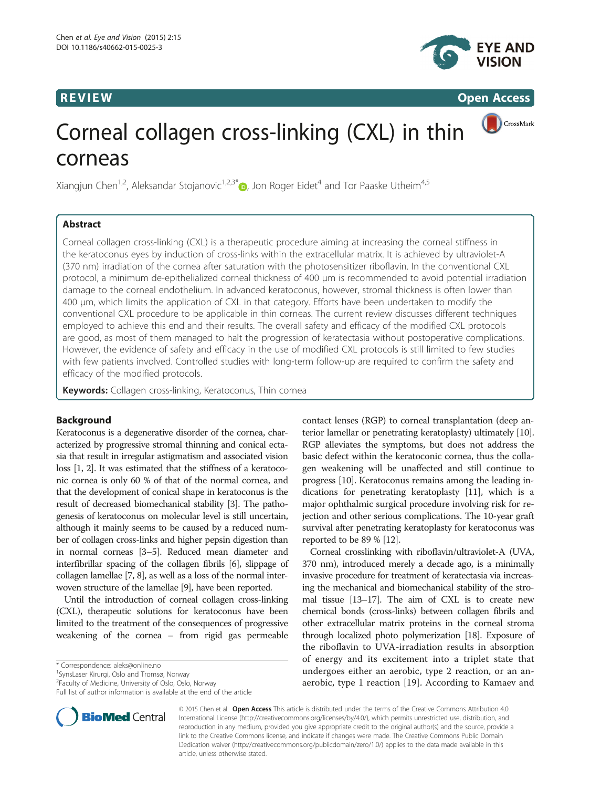

**REVIEW REVIEW CONSTRUCTER ACCESS** 

CrossMark

# Corneal collagen cross-linking (CXL) in thin corneas

Xiangjun Chen<sup>1,2</sup>, Aleksandar Stojanovic<sup>1,2,3[\\*](http://orcid.org/0000-0003-1363-4689)</sup> , Jon Roger Eidet<sup>4</sup> and Tor Paaske Utheim<sup>4,5</sup>

# Abstract

Corneal collagen cross-linking (CXL) is a therapeutic procedure aiming at increasing the corneal stiffness in the keratoconus eyes by induction of cross-links within the extracellular matrix. It is achieved by ultraviolet-A (370 nm) irradiation of the cornea after saturation with the photosensitizer riboflavin. In the conventional CXL protocol, a minimum de-epithelialized corneal thickness of 400 μm is recommended to avoid potential irradiation damage to the corneal endothelium. In advanced keratoconus, however, stromal thickness is often lower than 400 μm, which limits the application of CXL in that category. Efforts have been undertaken to modify the conventional CXL procedure to be applicable in thin corneas. The current review discusses different techniques employed to achieve this end and their results. The overall safety and efficacy of the modified CXL protocols are good, as most of them managed to halt the progression of keratectasia without postoperative complications. However, the evidence of safety and efficacy in the use of modified CXL protocols is still limited to few studies with few patients involved. Controlled studies with long-term follow-up are required to confirm the safety and efficacy of the modified protocols.

Keywords: Collagen cross-linking, Keratoconus, Thin cornea

# Background

Keratoconus is a degenerative disorder of the cornea, characterized by progressive stromal thinning and conical ectasia that result in irregular astigmatism and associated vision loss [\[1, 2\]](#page-5-0). It was estimated that the stiffness of a keratoconic cornea is only 60 % of that of the normal cornea, and that the development of conical shape in keratoconus is the result of decreased biomechanical stability [\[3\]](#page-5-0). The pathogenesis of keratoconus on molecular level is still uncertain, although it mainly seems to be caused by a reduced number of collagen cross-links and higher pepsin digestion than in normal corneas [\[3](#page-5-0)–[5](#page-5-0)]. Reduced mean diameter and interfibrillar spacing of the collagen fibrils [[6](#page-5-0)], slippage of collagen lamellae [[7](#page-5-0), [8\]](#page-5-0), as well as a loss of the normal interwoven structure of the lamellae [\[9\]](#page-5-0), have been reported.

Until the introduction of corneal collagen cross-linking (CXL), therapeutic solutions for keratoconus have been limited to the treatment of the consequences of progressive weakening of the cornea – from rigid gas permeable

\* Correspondence: [aleks@online.no](mailto:aleks@online.no) <sup>1</sup>

Full list of author information is available at the end of the article



Corneal crosslinking with riboflavin/ultraviolet-A (UVA, 370 nm), introduced merely a decade ago, is a minimally invasive procedure for treatment of keratectasia via increasing the mechanical and biomechanical stability of the stromal tissue [\[13](#page-5-0)–[17\]](#page-5-0). The aim of CXL is to create new chemical bonds (cross-links) between collagen fibrils and other extracellular matrix proteins in the corneal stroma through localized photo polymerization [\[18\]](#page-5-0). Exposure of the riboflavin to UVA-irradiation results in absorption of energy and its excitement into a triplet state that undergoes either an aerobic, type 2 reaction, or an anaerobic, type 1 reaction [[19](#page-5-0)]. According to Kamaev and



© 2015 Chen et al. Open Access This article is distributed under the terms of the Creative Commons Attribution 4.0 International License [\(http://creativecommons.org/licenses/by/4.0/\)](http://creativecommons.org/licenses/by/4.0/), which permits unrestricted use, distribution, and reproduction in any medium, provided you give appropriate credit to the original author(s) and the source, provide a link to the Creative Commons license, and indicate if changes were made. The Creative Commons Public Domain Dedication waiver ([http://creativecommons.org/publicdomain/zero/1.0/\)](http://creativecommons.org/publicdomain/zero/1.0/) applies to the data made available in this article, unless otherwise stated.

<sup>&</sup>lt;sup>1</sup> SynsLaser Kirurgi, Oslo and Tromsø, Norway

<sup>&</sup>lt;sup>2</sup> Faculty of Medicine, University of Oslo, Oslo, Norway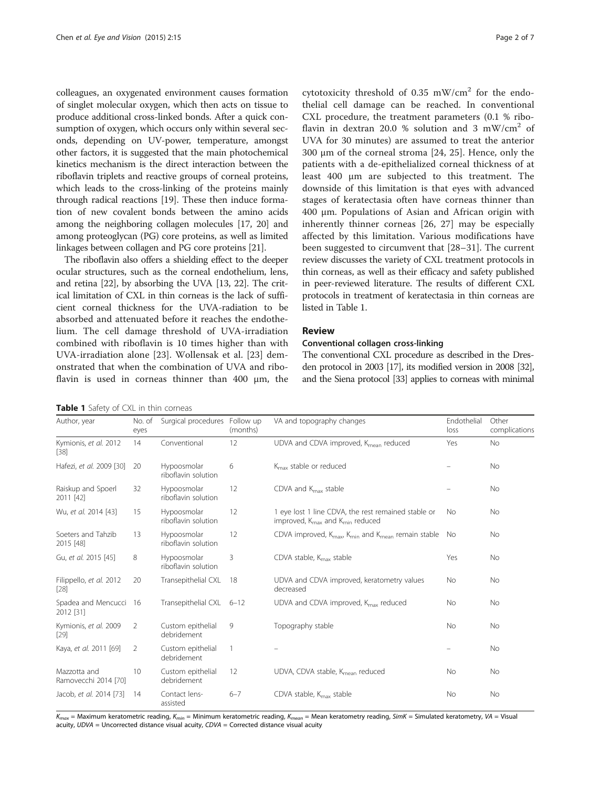colleagues, an oxygenated environment causes formation of singlet molecular oxygen, which then acts on tissue to produce additional cross-linked bonds. After a quick consumption of oxygen, which occurs only within several seconds, depending on UV-power, temperature, amongst other factors, it is suggested that the main photochemical kinetics mechanism is the direct interaction between the riboflavin triplets and reactive groups of corneal proteins, which leads to the cross-linking of the proteins mainly through radical reactions [\[19\]](#page-5-0). These then induce formation of new covalent bonds between the amino acids among the neighboring collagen molecules [\[17](#page-5-0), [20](#page-5-0)] and among proteoglycan (PG) core proteins, as well as limited linkages between collagen and PG core proteins [[21](#page-5-0)].

The riboflavin also offers a shielding effect to the deeper ocular structures, such as the corneal endothelium, lens, and retina [[22](#page-5-0)], by absorbing the UVA [[13](#page-5-0), [22\]](#page-5-0). The critical limitation of CXL in thin corneas is the lack of sufficient corneal thickness for the UVA-radiation to be absorbed and attenuated before it reaches the endothelium. The cell damage threshold of UVA-irradiation combined with riboflavin is 10 times higher than with UVA-irradiation alone [[23\]](#page-5-0). Wollensak et al. [[23\]](#page-5-0) demonstrated that when the combination of UVA and riboflavin is used in corneas thinner than 400 μm, the

cytotoxicity threshold of 0.35 mW/cm<sup>2</sup> for the endothelial cell damage can be reached. In conventional CXL procedure, the treatment parameters (0.1 % riboflavin in dextran 20.0 % solution and 3 mW/cm<sup>2</sup> of UVA for 30 minutes) are assumed to treat the anterior 300 μm of the corneal stroma [[24, 25](#page-5-0)]. Hence, only the patients with a de-epithelialized corneal thickness of at least 400 μm are subjected to this treatment. The downside of this limitation is that eyes with advanced stages of keratectasia often have corneas thinner than 400 μm. Populations of Asian and African origin with inherently thinner corneas [\[26](#page-5-0), [27](#page-5-0)] may be especially affected by this limitation. Various modifications have been suggested to circumvent that [\[28](#page-5-0)–[31](#page-5-0)]. The current review discusses the variety of CXL treatment protocols in thin corneas, as well as their efficacy and safety published in peer-reviewed literature. The results of different CXL protocols in treatment of keratectasia in thin corneas are listed in Table 1.

# Review

# Conventional collagen cross-linking

The conventional CXL procedure as described in the Dresden protocol in 2003 [\[17\]](#page-5-0), its modified version in 2008 [\[32\]](#page-5-0), and the Siena protocol [[33\]](#page-5-0) applies to corneas with minimal

|  |  |  | Table 1 Safety of CXL in thin corneas |  |
|--|--|--|---------------------------------------|--|
|  |  |  |                                       |  |

Author, year No. of eyes Surgical procedures Follow up (months) VA and topography changes Endothelial loss Other complications Kymionis, et al. 2012 [[38](#page-5-0)] 14 Conventional 12 UDVA and CDVA improved, K<sub>mean</sub> reduced Yes No Hafezi, et al. 2009 [[30](#page-5-0)] 20 Hypoosmolar riboflavin solution 6  $K_{\text{max}}$  stable or reduced  $\blacksquare$   $\blacksquare$  No Raiskup and Spoerl 2011 [\[42](#page-5-0)] 32 Hypoosmolar riboflavin solution 12 CDVA and  $K_{\text{max}}$  stable  $\qquad -$  No Wu, et al. 2014 [\[43\]](#page-5-0) 15 Hypoosmolar riboflavin solution 12 1 eye lost 1 line CDVA, the rest remained stable or improved, K<sub>max</sub> and K<sub>min</sub> reduced No No Soeters and Tahzib 2015 [\[48](#page-6-0)] 13 Hypoosmolar riboflavin solution 12 CDVA improved, K<sub>max</sub>, K<sub>min</sub> and K<sub>mean</sub> remain stable No No Gu, et al. 2015 [[45](#page-6-0)] 8 Hypoosmolar riboflavin solution 3 CDVA stable, K<sub>max</sub> stable The Secondary Ses No Filippello, et al. 2012 [[28](#page-5-0)] 20 Transepithelial CXL 18 UDVA and CDVA improved, keratometry values decreased No No Spadea and Mencucci 2012 [\[31](#page-5-0)] 16 Transepithelial CXL  $6-12$  UDVA and CDVA improved,  $K_{\text{max}}$  reduced No No Kymionis, et al. 2009 [[29](#page-5-0)] 2 Custom epithelial debridement 9 Topography stable No No No No Kaya, et al. 2011 [\[69\]](#page-6-0) 2 Custom epithelial debridement 1 – No Mazzotta and Ramovecchi 2014 [\[70](#page-6-0)] 10 Custom epithelial debridement 12 UDVA, CDVA stable, K<sub>mean</sub> reduced No No No Jacob, et al. 2014 [[73\]](#page-6-0) 14 Contact lensassisted 6–7 CDVA stable, K<sub>max</sub> stable No No No No

 $K_{max}$  = Maximum keratometric reading,  $K_{min}$  = Minimum keratometric reading,  $K_{mean}$  = Mean keratometry reading, SimK = Simulated keratometry, VA = Visual acuity,  $UDVA =$  Uncorrected distance visual acuity,  $CDVA =$  Corrected distance visual acuity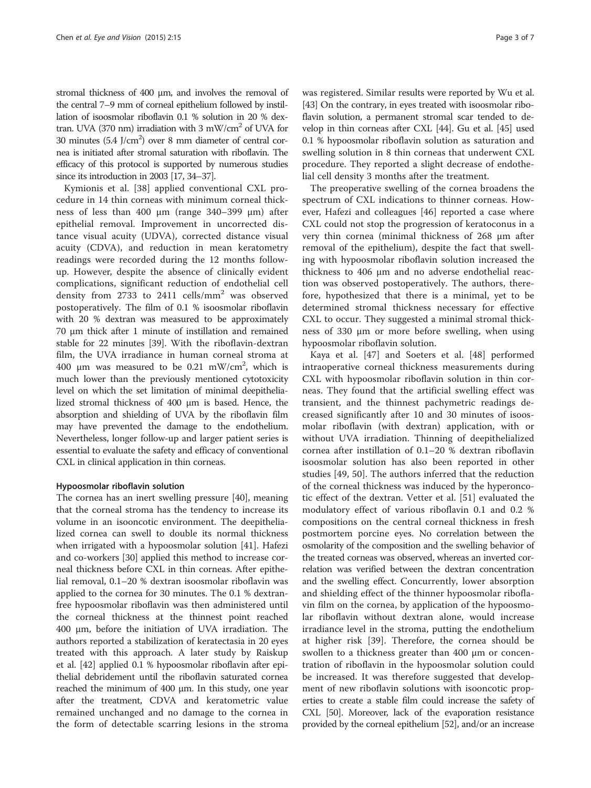stromal thickness of 400 μm, and involves the removal of the central 7–9 mm of corneal epithelium followed by instillation of isoosmolar riboflavin 0.1 % solution in 20 % dextran. UVA (370 nm) irradiation with 3 mW/cm<sup>2</sup> of UVA for 30 minutes  $(5.4 \text{ J/cm}^2)$  over 8 mm diameter of central cornea is initiated after stromal saturation with riboflavin. The efficacy of this protocol is supported by numerous studies since its introduction in 2003 [[17, 34](#page-5-0)–[37\]](#page-5-0).

Kymionis et al. [\[38](#page-5-0)] applied conventional CXL procedure in 14 thin corneas with minimum corneal thickness of less than 400 μm (range 340–399 μm) after epithelial removal. Improvement in uncorrected distance visual acuity (UDVA), corrected distance visual acuity (CDVA), and reduction in mean keratometry readings were recorded during the 12 months followup. However, despite the absence of clinically evident complications, significant reduction of endothelial cell density from 2733 to 2411 cells/mm<sup>2</sup> was observed postoperatively. The film of 0.1 % isoosmolar riboflavin with 20 % dextran was measured to be approximately 70 μm thick after 1 minute of instillation and remained stable for 22 minutes [\[39\]](#page-5-0). With the riboflavin-dextran film, the UVA irradiance in human corneal stroma at 400 μm was measured to be 0.21 mW/cm<sup>2</sup>, which is much lower than the previously mentioned cytotoxicity level on which the set limitation of minimal deepithelialized stromal thickness of 400 μm is based. Hence, the absorption and shielding of UVA by the riboflavin film may have prevented the damage to the endothelium. Nevertheless, longer follow-up and larger patient series is essential to evaluate the safety and efficacy of conventional CXL in clinical application in thin corneas.

# Hypoosmolar riboflavin solution

The cornea has an inert swelling pressure [[40\]](#page-5-0), meaning that the corneal stroma has the tendency to increase its volume in an isooncotic environment. The deepithelialized cornea can swell to double its normal thickness when irrigated with a hypoosmolar solution [[41\]](#page-5-0). Hafezi and co-workers [\[30](#page-5-0)] applied this method to increase corneal thickness before CXL in thin corneas. After epithelial removal, 0.1–20 % dextran isoosmolar riboflavin was applied to the cornea for 30 minutes. The 0.1 % dextranfree hypoosmolar riboflavin was then administered until the corneal thickness at the thinnest point reached 400 μm, before the initiation of UVA irradiation. The authors reported a stabilization of keratectasia in 20 eyes treated with this approach. A later study by Raiskup et al. [[42](#page-5-0)] applied 0.1 % hypoosmolar riboflavin after epithelial debridement until the riboflavin saturated cornea reached the minimum of 400 μm. In this study, one year after the treatment, CDVA and keratometric value remained unchanged and no damage to the cornea in the form of detectable scarring lesions in the stroma was registered. Similar results were reported by Wu et al. [[43](#page-5-0)] On the contrary, in eyes treated with isoosmolar riboflavin solution, a permanent stromal scar tended to develop in thin corneas after CXL [[44](#page-5-0)]. Gu et al. [[45](#page-6-0)] used 0.1 % hypoosmolar riboflavin solution as saturation and swelling solution in 8 thin corneas that underwent CXL procedure. They reported a slight decrease of endothelial cell density 3 months after the treatment.

The preoperative swelling of the cornea broadens the spectrum of CXL indications to thinner corneas. However, Hafezi and colleagues [\[46](#page-6-0)] reported a case where CXL could not stop the progression of keratoconus in a very thin cornea (minimal thickness of 268 μm after removal of the epithelium), despite the fact that swelling with hypoosmolar riboflavin solution increased the thickness to 406 μm and no adverse endothelial reaction was observed postoperatively. The authors, therefore, hypothesized that there is a minimal, yet to be determined stromal thickness necessary for effective CXL to occur. They suggested a minimal stromal thickness of 330 μm or more before swelling, when using hypoosmolar riboflavin solution.

Kaya et al. [[47\]](#page-6-0) and Soeters et al. [\[48](#page-6-0)] performed intraoperative corneal thickness measurements during CXL with hypoosmolar riboflavin solution in thin corneas. They found that the artificial swelling effect was transient, and the thinnest pachymetric readings decreased significantly after 10 and 30 minutes of isoosmolar riboflavin (with dextran) application, with or without UVA irradiation. Thinning of deepithelialized cornea after instillation of 0.1–20 % dextran riboflavin isoosmolar solution has also been reported in other studies [[49, 50](#page-6-0)]. The authors inferred that the reduction of the corneal thickness was induced by the hyperoncotic effect of the dextran. Vetter et al. [\[51](#page-6-0)] evaluated the modulatory effect of various riboflavin 0.1 and 0.2 % compositions on the central corneal thickness in fresh postmortem porcine eyes. No correlation between the osmolarity of the composition and the swelling behavior of the treated corneas was observed, whereas an inverted correlation was verified between the dextran concentration and the swelling effect. Concurrently, lower absorption and shielding effect of the thinner hypoosmolar riboflavin film on the cornea, by application of the hypoosmolar riboflavin without dextran alone, would increase irradiance level in the stroma, putting the endothelium at higher risk [[39\]](#page-5-0). Therefore, the cornea should be swollen to a thickness greater than 400 μm or concentration of riboflavin in the hypoosmolar solution could be increased. It was therefore suggested that development of new riboflavin solutions with isooncotic properties to create a stable film could increase the safety of CXL [\[50](#page-6-0)]. Moreover, lack of the evaporation resistance provided by the corneal epithelium [\[52\]](#page-6-0), and/or an increase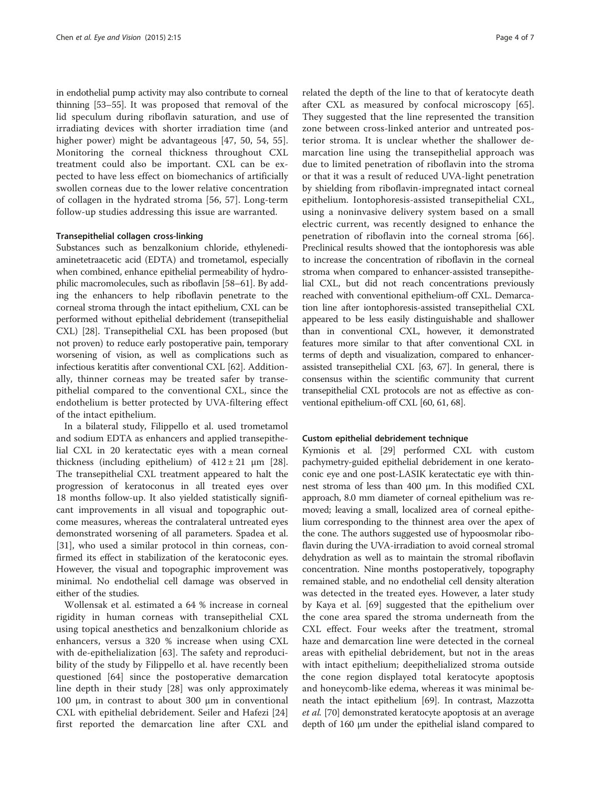in endothelial pump activity may also contribute to corneal thinning [\[53](#page-6-0)–[55](#page-6-0)]. It was proposed that removal of the lid speculum during riboflavin saturation, and use of irradiating devices with shorter irradiation time (and higher power) might be advantageous [[47, 50](#page-6-0), [54, 55](#page-6-0)]. Monitoring the corneal thickness throughout CXL treatment could also be important. CXL can be expected to have less effect on biomechanics of artificially swollen corneas due to the lower relative concentration of collagen in the hydrated stroma [[56, 57\]](#page-6-0). Long-term follow-up studies addressing this issue are warranted.

# Transepithelial collagen cross-linking

Substances such as benzalkonium chloride, ethylenediaminetetraacetic acid (EDTA) and trometamol, especially when combined, enhance epithelial permeability of hydrophilic macromolecules, such as riboflavin [[58](#page-6-0)–[61](#page-6-0)]. By adding the enhancers to help riboflavin penetrate to the corneal stroma through the intact epithelium, CXL can be performed without epithelial debridement (transepithelial CXL) [[28](#page-5-0)]. Transepithelial CXL has been proposed (but not proven) to reduce early postoperative pain, temporary worsening of vision, as well as complications such as infectious keratitis after conventional CXL [\[62](#page-6-0)]. Additionally, thinner corneas may be treated safer by transepithelial compared to the conventional CXL, since the endothelium is better protected by UVA-filtering effect of the intact epithelium.

In a bilateral study, Filippello et al. used trometamol and sodium EDTA as enhancers and applied transepithelial CXL in 20 keratectatic eyes with a mean corneal thickness (including epithelium) of  $412 \pm 21$  µm [\[28](#page-5-0)]. The transepithelial CXL treatment appeared to halt the progression of keratoconus in all treated eyes over 18 months follow-up. It also yielded statistically significant improvements in all visual and topographic outcome measures, whereas the contralateral untreated eyes demonstrated worsening of all parameters. Spadea et al. [[31\]](#page-5-0), who used a similar protocol in thin corneas, confirmed its effect in stabilization of the keratoconic eyes. However, the visual and topographic improvement was minimal. No endothelial cell damage was observed in either of the studies.

Wollensak et al. estimated a 64 % increase in corneal rigidity in human corneas with transepithelial CXL using topical anesthetics and benzalkonium chloride as enhancers, versus a 320 % increase when using CXL with de-epithelialization [[63\]](#page-6-0). The safety and reproducibility of the study by Filippello et al. have recently been questioned [\[64](#page-6-0)] since the postoperative demarcation line depth in their study [\[28](#page-5-0)] was only approximately 100 μm, in contrast to about 300 μm in conventional CXL with epithelial debridement. Seiler and Hafezi [\[24](#page-5-0)] first reported the demarcation line after CXL and

related the depth of the line to that of keratocyte death after CXL as measured by confocal microscopy [\[65](#page-6-0)]. They suggested that the line represented the transition zone between cross-linked anterior and untreated posterior stroma. It is unclear whether the shallower demarcation line using the transepithelial approach was due to limited penetration of riboflavin into the stroma or that it was a result of reduced UVA-light penetration by shielding from riboflavin-impregnated intact corneal epithelium. Iontophoresis-assisted transepithelial CXL, using a noninvasive delivery system based on a small electric current, was recently designed to enhance the penetration of riboflavin into the corneal stroma [\[66](#page-6-0)]. Preclinical results showed that the iontophoresis was able to increase the concentration of riboflavin in the corneal stroma when compared to enhancer-assisted transepithelial CXL, but did not reach concentrations previously reached with conventional epithelium-off CXL. Demarcation line after iontophoresis-assisted transepithelial CXL appeared to be less easily distinguishable and shallower than in conventional CXL, however, it demonstrated features more similar to that after conventional CXL in terms of depth and visualization, compared to enhancerassisted transepithelial CXL [\[63](#page-6-0), [67](#page-6-0)]. In general, there is consensus within the scientific community that current transepithelial CXL protocols are not as effective as conventional epithelium-off CXL [\[60, 61, 68](#page-6-0)].

#### Custom epithelial debridement technique

Kymionis et al. [\[29\]](#page-5-0) performed CXL with custom pachymetry-guided epithelial debridement in one keratoconic eye and one post-LASIK keratectatic eye with thinnest stroma of less than 400 μm. In this modified CXL approach, 8.0 mm diameter of corneal epithelium was removed; leaving a small, localized area of corneal epithelium corresponding to the thinnest area over the apex of the cone. The authors suggested use of hypoosmolar riboflavin during the UVA-irradiation to avoid corneal stromal dehydration as well as to maintain the stromal riboflavin concentration. Nine months postoperatively, topography remained stable, and no endothelial cell density alteration was detected in the treated eyes. However, a later study by Kaya et al. [[69\]](#page-6-0) suggested that the epithelium over the cone area spared the stroma underneath from the CXL effect. Four weeks after the treatment, stromal haze and demarcation line were detected in the corneal areas with epithelial debridement, but not in the areas with intact epithelium; deepithelialized stroma outside the cone region displayed total keratocyte apoptosis and honeycomb-like edema, whereas it was minimal beneath the intact epithelium [\[69\]](#page-6-0). In contrast, Mazzotta et al. [\[70\]](#page-6-0) demonstrated keratocyte apoptosis at an average depth of 160 μm under the epithelial island compared to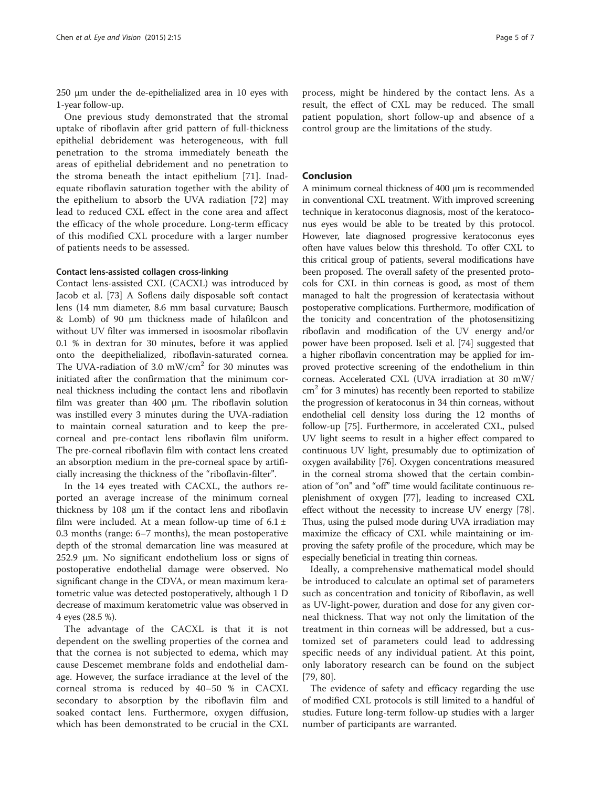250 μm under the de-epithelialized area in 10 eyes with 1-year follow-up.

One previous study demonstrated that the stromal uptake of riboflavin after grid pattern of full-thickness epithelial debridement was heterogeneous, with full penetration to the stroma immediately beneath the areas of epithelial debridement and no penetration to the stroma beneath the intact epithelium [[71\]](#page-6-0). Inadequate riboflavin saturation together with the ability of the epithelium to absorb the UVA radiation [[72\]](#page-6-0) may lead to reduced CXL effect in the cone area and affect the efficacy of the whole procedure. Long-term efficacy of this modified CXL procedure with a larger number of patients needs to be assessed.

# Contact lens-assisted collagen cross-linking

Contact lens-assisted CXL (CACXL) was introduced by Jacob et al. [[73\]](#page-6-0) A Soflens daily disposable soft contact lens (14 mm diameter, 8.6 mm basal curvature; Bausch & Lomb) of 90 μm thickness made of hilafilcon and without UV filter was immersed in isoosmolar riboflavin 0.1 % in dextran for 30 minutes, before it was applied onto the deepithelialized, riboflavin-saturated cornea. The UVA-radiation of 3.0 mW/cm<sup>2</sup> for 30 minutes was initiated after the confirmation that the minimum corneal thickness including the contact lens and riboflavin film was greater than 400 μm. The riboflavin solution was instilled every 3 minutes during the UVA-radiation to maintain corneal saturation and to keep the precorneal and pre-contact lens riboflavin film uniform. The pre-corneal riboflavin film with contact lens created an absorption medium in the pre-corneal space by artificially increasing the thickness of the "riboflavin-filter".

In the 14 eyes treated with CACXL, the authors reported an average increase of the minimum corneal thickness by 108 μm if the contact lens and riboflavin film were included. At a mean follow-up time of  $6.1 \pm$ 0.3 months (range: 6–7 months), the mean postoperative depth of the stromal demarcation line was measured at 252.9 μm. No significant endothelium loss or signs of postoperative endothelial damage were observed. No significant change in the CDVA, or mean maximum keratometric value was detected postoperatively, although 1 D decrease of maximum keratometric value was observed in 4 eyes (28.5 %).

The advantage of the CACXL is that it is not dependent on the swelling properties of the cornea and that the cornea is not subjected to edema, which may cause Descemet membrane folds and endothelial damage. However, the surface irradiance at the level of the corneal stroma is reduced by 40–50 % in CACXL secondary to absorption by the riboflavin film and soaked contact lens. Furthermore, oxygen diffusion, which has been demonstrated to be crucial in the CXL

process, might be hindered by the contact lens. As a result, the effect of CXL may be reduced. The small patient population, short follow-up and absence of a control group are the limitations of the study.

# Conclusion

A minimum corneal thickness of 400 μm is recommended in conventional CXL treatment. With improved screening technique in keratoconus diagnosis, most of the keratoconus eyes would be able to be treated by this protocol. However, late diagnosed progressive keratoconus eyes often have values below this threshold. To offer CXL to this critical group of patients, several modifications have been proposed. The overall safety of the presented protocols for CXL in thin corneas is good, as most of them managed to halt the progression of keratectasia without postoperative complications. Furthermore, modification of the tonicity and concentration of the photosensitizing riboflavin and modification of the UV energy and/or power have been proposed. Iseli et al. [[74](#page-6-0)] suggested that a higher riboflavin concentration may be applied for improved protective screening of the endothelium in thin corneas. Accelerated CXL (UVA irradiation at 30 mW/  $\text{cm}^2$  for 3 minutes) has recently been reported to stabilize the progression of keratoconus in 34 thin corneas, without endothelial cell density loss during the 12 months of follow-up [\[75](#page-6-0)]. Furthermore, in accelerated CXL, pulsed UV light seems to result in a higher effect compared to continuous UV light, presumably due to optimization of oxygen availability [[76](#page-6-0)]. Oxygen concentrations measured in the corneal stroma showed that the certain combination of "on" and "off" time would facilitate continuous replenishment of oxygen [\[77](#page-6-0)], leading to increased CXL effect without the necessity to increase UV energy [[78](#page-6-0)]. Thus, using the pulsed mode during UVA irradiation may maximize the efficacy of CXL while maintaining or improving the safety profile of the procedure, which may be especially beneficial in treating thin corneas.

Ideally, a comprehensive mathematical model should be introduced to calculate an optimal set of parameters such as concentration and tonicity of Riboflavin, as well as UV-light-power, duration and dose for any given corneal thickness. That way not only the limitation of the treatment in thin corneas will be addressed, but a customized set of parameters could lead to addressing specific needs of any individual patient. At this point, only laboratory research can be found on the subject [[79, 80](#page-6-0)].

The evidence of safety and efficacy regarding the use of modified CXL protocols is still limited to a handful of studies. Future long-term follow-up studies with a larger number of participants are warranted.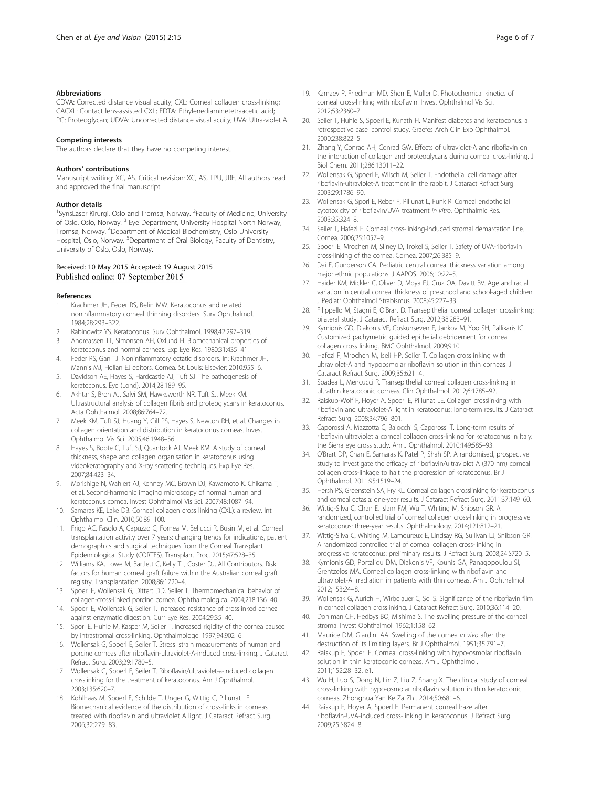#### <span id="page-5-0"></span>**Abbreviations**

CDVA: Corrected distance visual acuity; CXL: Corneal collagen cross-linking; CACXL: Contact lens-assisted CXL; EDTA: Ethylenediaminetetraacetic acid; PG: Proteoglycan; UDVA: Uncorrected distance visual acuity; UVA: Ultra-violet A.

#### Competing interests

The authors declare that they have no competing interest.

#### Authors' contributions

Manuscript writing: XC, AS. Critical revision: XC, AS, TPU, JRE. All authors read and approved the final manuscript.

## Author details

<sup>1</sup>SynsLaser Kirurgi, Oslo and Tromsø, Norway. <sup>2</sup>Faculty of Medicine, University of Oslo, Oslo, Norway. <sup>3</sup> Eye Department, University Hospital North Norway, Tromsø, Norway. <sup>4</sup> Department of Medical Biochemistry, Oslo University Hospital, Oslo, Norway. <sup>5</sup>Department of Oral Biology, Faculty of Dentistry, University of Oslo, Oslo, Norway.

# Received: 10 May 2015 Accepted: 19 August 2015 Published online: 07 September 2015

#### References

- 1. Krachmer JH, Feder RS, Belin MW. Keratoconus and related noninflammatory corneal thinning disorders. Surv Ophthalmol. 1984;28:293–322.
- 2. Rabinowitz YS. Keratoconus. Surv Ophthalmol. 1998;42:297–319.
- 3. Andreassen TT, Simonsen AH, Oxlund H. Biomechanical properties of keratoconus and normal corneas. Exp Eye Res. 1980;31:435–41.
- 4. Feder RS, Gan TJ: Noninflammatory ectatic disorders. In: Krachmer JH, Mannis MJ, Hollan EJ editors. Cornea. St. Louis: Elsevier; 2010:955–6.
- 5. Davidson AE, Hayes S, Hardcastle AJ, Tuft SJ. The pathogenesis of keratoconus. Eye (Lond). 2014;28:189–95.
- 6. Akhtar S, Bron AJ, Salvi SM, Hawksworth NR, Tuft SJ, Meek KM. Ultrastructural analysis of collagen fibrils and proteoglycans in keratoconus. Acta Ophthalmol. 2008;86:764–72.
- 7. Meek KM, Tuft SJ, Huang Y, Gill PS, Hayes S, Newton RH, et al. Changes in collagen orientation and distribution in keratoconus corneas. Invest Ophthalmol Vis Sci. 2005;46:1948–56.
- Hayes S, Boote C, Tuft SJ, Quantock AJ, Meek KM. A study of corneal thickness, shape and collagen organisation in keratoconus using videokeratography and X-ray scattering techniques. Exp Eye Res. 2007;84:423–34.
- 9. Morishige N, Wahlert AJ, Kenney MC, Brown DJ, Kawamoto K, Chikama T, et al. Second-harmonic imaging microscopy of normal human and keratoconus cornea. Invest Ophthalmol Vis Sci. 2007;48:1087–94.
- 10. Samaras KE, Lake DB. Corneal collagen cross linking (CXL): a review. Int Ophthalmol Clin. 2010;50:89–100.
- 11. Frigo AC, Fasolo A, Capuzzo C, Fornea M, Bellucci R, Busin M, et al. Corneal transplantation activity over 7 years: changing trends for indications, patient demographics and surgical techniques from the Corneal Transplant Epidemiological Study (CORTES). Transplant Proc. 2015;47:528–35.
- 12. Williams KA, Lowe M, Bartlett C, Kelly TL, Coster DJ, All Contributors. Risk factors for human corneal graft failure within the Australian corneal graft registry. Transplantation. 2008;86:1720–4.
- 13. Spoerl E, Wollensak G, Dittert DD, Seiler T. Thermomechanical behavior of collagen-cross-linked porcine cornea. Ophthalmologica. 2004;218:136–40.
- 14. Spoerl E, Wollensak G, Seiler T. Increased resistance of crosslinked cornea against enzymatic digestion. Curr Eye Res. 2004;29:35–40.
- 15. Sporl E, Huhle M, Kasper M, Seiler T. Increased rigidity of the cornea caused by intrastromal cross-linking. Ophthalmologe. 1997;94:902–6.
- 16. Wollensak G, Spoerl E, Seiler T. Stress–strain measurements of human and porcine corneas after riboflavin-ultraviolet-A-induced cross-linking. J Cataract Refract Surg. 2003;29:1780–5.
- 17. Wollensak G, Spoerl E, Seiler T. Riboflavin/ultraviolet-a-induced collagen crosslinking for the treatment of keratoconus. Am J Ophthalmol. 2003;135:620–7.
- 18. Kohlhaas M, Spoerl E, Schilde T, Unger G, Wittig C, Pillunat LE. Biomechanical evidence of the distribution of cross-links in corneas treated with riboflavin and ultraviolet A light. J Cataract Refract Surg. 2006;32:279–83.
- 19. Kamaev P, Friedman MD, Sherr E, Muller D. Photochemical kinetics of corneal cross-linking with riboflavin. Invest Ophthalmol Vis Sci. 2012;53:2360–7.
- 20. Seiler T, Huhle S, Spoerl E, Kunath H. Manifest diabetes and keratoconus: a retrospective case–control study. Graefes Arch Clin Exp Ophthalmol. 2000;238:822–5.
- 21. Zhang Y, Conrad AH, Conrad GW. Effects of ultraviolet-A and riboflavin on the interaction of collagen and proteoglycans during corneal cross-linking. J Biol Chem. 2011;286:13011–22.
- 22. Wollensak G, Spoerl E, Wilsch M, Seiler T. Endothelial cell damage after riboflavin-ultraviolet-A treatment in the rabbit. J Cataract Refract Surg. 2003;29:1786–90.
- 23. Wollensak G, Sporl E, Reber F, Pillunat L, Funk R. Corneal endothelial cytotoxicity of riboflavin/UVA treatment in vitro. Ophthalmic Res. 2003;35:324–8.
- 24. Seiler T, Hafezi F. Corneal cross-linking-induced stromal demarcation line. Cornea. 2006;25:1057–9.
- 25. Spoerl E, Mrochen M, Sliney D, Trokel S, Seiler T. Safety of UVA-riboflavin cross-linking of the cornea. Cornea. 2007;26:385–9.
- 26. Dai E, Gunderson CA. Pediatric central corneal thickness variation among major ethnic populations. J AAPOS. 2006;10:22–5.
- 27. Haider KM, Mickler C, Oliver D, Moya FJ, Cruz OA, Davitt BV. Age and racial variation in central corneal thickness of preschool and school-aged children. J Pediatr Ophthalmol Strabismus. 2008;45:227–33.
- 28. Filippello M, Stagni E, O'Brart D. Transepithelial corneal collagen crosslinking: bilateral study. J Cataract Refract Surg. 2012;38:283–91.
- 29. Kymionis GD, Diakonis VF, Coskunseven E, Jankov M, Yoo SH, Pallikaris IG. Customized pachymetric guided epithelial debridement for corneal collagen cross linking. BMC Ophthalmol. 2009;9:10.
- 30. Hafezi F, Mrochen M, Iseli HP, Seiler T. Collagen crosslinking with ultraviolet-A and hypoosmolar riboflavin solution in thin corneas. J Cataract Refract Surg. 2009;35:621–4.
- 31. Spadea L, Mencucci R. Transepithelial corneal collagen cross-linking in ultrathin keratoconic corneas. Clin Ophthalmol. 2012;6:1785–92.
- 32. Raiskup-Wolf F, Hoyer A, Spoerl E, Pillunat LE. Collagen crosslinking with riboflavin and ultraviolet-A light in keratoconus: long-term results. J Cataract Refract Surg. 2008;34:796–801.
- 33. Caporossi A, Mazzotta C, Baiocchi S, Caporossi T. Long-term results of riboflavin ultraviolet a corneal collagen cross-linking for keratoconus in Italy: the Siena eye cross study. Am J Ophthalmol. 2010;149:585–93.
- 34. O'Brart DP, Chan E, Samaras K, Patel P, Shah SP. A randomised, prospective study to investigate the efficacy of riboflavin/ultraviolet A (370 nm) corneal collagen cross-linkage to halt the progression of keratoconus. Br J Ophthalmol. 2011;95:1519–24.
- 35. Hersh PS, Greenstein SA, Fry KL. Corneal collagen crosslinking for keratoconus and corneal ectasia: one-year results. J Cataract Refract Surg. 2011;37:149–60.
- 36. Wittig-Silva C, Chan E, Islam FM, Wu T, Whiting M, Snibson GR. A randomized, controlled trial of corneal collagen cross-linking in progressive keratoconus: three-year results. Ophthalmology. 2014;121:812–21.
- 37. Wittig-Silva C, Whiting M, Lamoureux E, Lindsay RG, Sullivan LJ, Snibson GR. A randomized controlled trial of corneal collagen cross-linking in progressive keratoconus: preliminary results. J Refract Surg. 2008;24:S720–5.
- 38. Kymionis GD, Portaliou DM, Diakonis VF, Kounis GA, Panagopoulou SI, Grentzelos MA. Corneal collagen cross-linking with riboflavin and ultraviolet-A irradiation in patients with thin corneas. Am J Ophthalmol. 2012;153:24–8.
- 39. Wollensak G, Aurich H, Wirbelauer C, Sel S. Significance of the riboflavin film in corneal collagen crosslinking. J Cataract Refract Surg. 2010;36:114–20.
- 40. Dohlman CH, Hedbys BO, Mishima S. The swelling pressure of the corneal stroma. Invest Ophthalmol. 1962;1:158–62.
- 41. Maurice DM, Giardini AA. Swelling of the cornea in vivo after the destruction of its limiting layers. Br J Ophthalmol. 1951;35:791–7.
- 42. Raiskup F, Spoerl E. Corneal cross-linking with hypo-osmolar riboflavin solution in thin keratoconic corneas. Am J Ophthalmol. 2011;152:28–32. e1.
- 43. Wu H, Luo S, Dong N, Lin Z, Liu Z, Shang X. The clinical study of corneal cross-linking with hypo-osmolar riboflavin solution in thin keratoconic corneas. Zhonghua Yan Ke Za Zhi. 2014;50:681–6.
- 44. Raiskup F, Hoyer A, Spoerl E. Permanent corneal haze after riboflavin-UVA-induced cross-linking in keratoconus. J Refract Surg. 2009;25:S824–8.